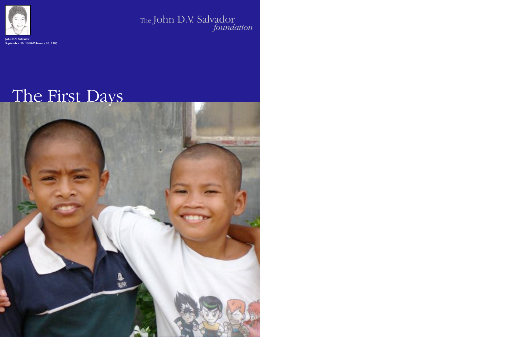# The First Days



The John D.V. Salvador *foundation*



**John D.V. Salv September 10, 1968–February 20, 1983**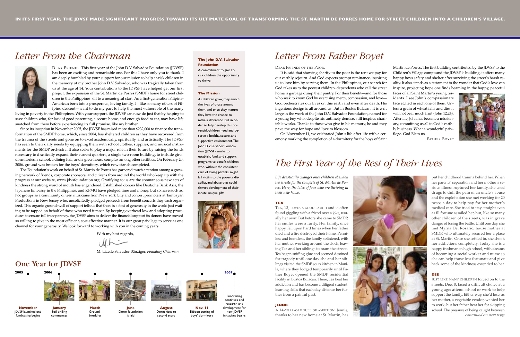*Life drastically changes once children abandon the streets for the comforts of St. Martin de Porres. Here, the tales of four who are thriving in their new home.*

### **TEA**

TEA, 13, LOVES A GOOD LAUGH and is often found giggling with a friend over a joke, usually her own! But before she came to SMDP, her smiles were a rarity. Her family, once happy, fell upon hard times when her father died and a fire destroyed their home. Penniless and homeless, the family splintered, with her mother working around the clock, leaving Tea and her siblings to roam the streets. Tea began sniffing glue and seemed destined for tragedy until one day she and her siblings visited the SMDP soup kitchen in Manila, where they lodged temporarily until Father Boyet opened the SMDP residential facility in Bustos Bulacan. There, Tea beat her addiction and has become a diligent student, learning skills that each day distance her further from a painful past.

### **JENNIE**

A 14-YEAR-OLD FULL OF AMBITION, Jennie, thanks to her new home at St. Martin, has



DEAR FRIENDS: This first year of the John D.V. Salvador Foundation (JDVSF) has been an exciting and remarkable one. For this I have only you to thank. I am deeply humbled by your support for our mission to help at-risk children in the memory of my brother John D.V. Salvador, who was tragically taken from us at the age of 14. Your contributions to the JDVSF have helped get our first project, the expansion of the St. Martin de Porres (SMDP) home for street children in the Philippines, off to a meaningful start. As a first-generation Filipina-American born into a prosperous, loving family, I—like so many others of Filipino descent—want to do my part to help the most vulnerable of the many

> put her childhood trauma behind her. When her parents' separation and her mother's serious illness ruptured her family, she used drugs to dull the pain of an uncle's abuse and the exploitation she met working for 20 pesos a day to help pay for her mother's medical care. She tried to stay straight even as ill fortune assailed her, but, like so many other children of the streets, was in grave danger of losing the battle. Until one day, she met Myrna Del Rosario, house mother at SMDP, who ultimately secured her a place at St. Martin. Once she settled in, she shook her addictions completely. Today she is a happy freshman in high school, with dreams of becoming a social worker and nurse so she can help those less fortunate and give back some of the kindness extended to her.

### **DEE**

living in poverty in the Philippines. With your support, the JDVSF can now do just that by helping to save children who, for lack of good parenting, a secure home, and enough food to eat, may have life snatched from them before experiencing its full promise, like my brother.

Since its inception in November 2005, the JDVSF has raised more than \$232,000 to finance the transformation of the SMDP home, which, since 2004, has sheltered children as they have recovered from the trauma of the streets and gone on to excel academically, spiritually, and artistically. The JDVSF has seen to their daily needs by equipping them with school clothes, supplies, and musical instruments for the SMDP orchestra. It also seeks to play a major role in their future by raising the funds necessary to drastically expand their current quarters, a single two-room building, to include girls' dormitories, a school, a dining hall, and a greenhouse complex among other facilities. On February 20, 2006, ground was broken for the boys' dormitory, which now stands completed.

The Foundation's work on behalf of St. Martin de Porres has garnered much attention among a growing network of friends, corporate sponsors, and citizens from around the world who keep up with the progress at our website, www.jdvsfoundation.org. Gratifying to us are the spontaneous new acts of kindness the strong word of mouth has engendered. Established donors like Deutsche Bank Asia, the Japanese Embassy in the Philippines, and KPMG have pledged time and money. But so have such ad hoc groups as a community of teen musicians from New York City and concert promoters at Tambayan Productions in New Jersey who, unsolicitedly, pledged proceeds from benefit concerts they each organized. This organic groundswell of support tells us that there is a font of generosity in the world just waiting to be tapped on behalf of those who need it most. By keeping overhead low and adopting procedures to ensure full transparency, the JDVSF aims to deliver the financial support its donors have proved so willing to give in the most efficient, cost-effective manner. It is our great privilege to serve as one channel for your generosity. We look forward to working with you in the coming years.

> JUST LIKE MANY CHILDREN forced on to the streets, Dee, 8, faced a difficult choice at a young age: attend school or work to help support the family. Either way, she'd lose, as her mother, a vegetable vendor, wanted her to work, but her father beat her for skipping school. The pressure of being caught between *continued on next page*

With my best regards,

 $U \wedge \doteq$ 

M. Lizelle Salvador Bänziger, *Founding Chairman*

## *Letter From the Chairman* **The John D.V. Salvador**



**Foundation**



## **The Mission**

As children grow, they enrich the lives of those around them, and once they mature they have the chance to make a difference. But in order to fully develop this potential, children need and deserve a healthy, secure, and supportive environment.The John D.V. Salvador Foundation (JDVSF) works to establish, fund, and support programs to benefit children who, without the consistent care of loving parents, might fall victim to the poverty, disability, and abuse that could thwart development of their innate, unique gifts.



## *The First Year of the Rest of Their Lives*

**January** Soil drilling commences

**November** JDVSF launched and fundraising begins

DEAR FRIENDS OF THE POOR,

It is said that showing charity to the poor is the rent we pay for our earthly sojourn. And God expects prompt remittance, inspiring us to love him by serving them. In the Philippines, our search for God takes us to the poorest children, dependents who call the street home, a garbage dump their pantry. For their benefit—and for those who seek to know God by exercising mercy, compassion, and love— God orchestrates our lives on this earth and even after death. His ingenious design is all around us. But in Bustos Bulacan, it is writ large in the work of the John D.V. Salvador Foundation, named for a young boy who, despite his untimely demise, still inspires charitable works. Thanks to those who give in his memory, he and they pave the way for hope and love to blossom.

On November 11, we celebrated John's life-after-life with a ceremony marking the completion of a dormitory for the boys of Saint

## One Year for JDVSF **2005 2006 2007**







Martin de Porres. The first building contributed by the JDVSF to the Children's Village compound the JDVSF is building, it offers many happy boys safety and shelter after surviving the street's harsh reality. It also stands as a testament to the wonder that God's love can inspire, projecting hope one finds beaming in the happy, peaceful

faces of all Saint Martin's young residents. I see John's compassionate face etched in each one of them. Unless a grain of wheat falls and dies it will not bear much fruit (John 12:24). After life, John has become a missionary, committing us all to God's earthly business. What a wonderful privilege. God Bless us.

FATHER BOYET



## *Letter From Father Boyet*

**March**  Groundbreaking

**June** Dorm foundation is laid

**August** Dorm rises to second story

**Nov. 11** Ribbon cutting of boys' dormitory

Fundraising continues and

research and development for new JDVSF initiatives begins